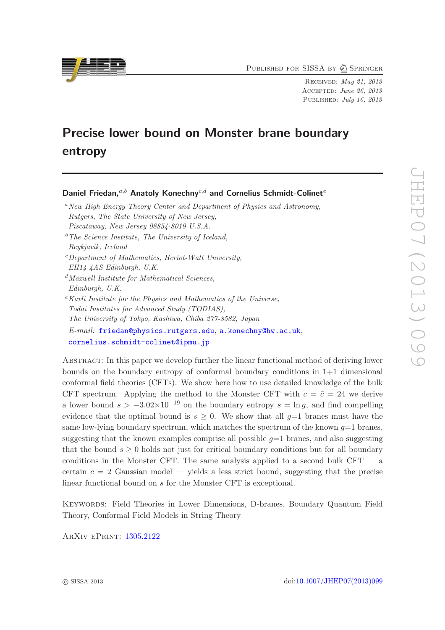PUBLISHED FOR SISSA BY 2 SPRINGER

Received: May 21, 2013 Accepted: June 26, 2013 PUBLISHED: July 16, 2013

# Precise lower bound on Monster brane boundary entropy

Daniel Friedan,  $a,b$  Anatoly Konechny $c,d$  and Cornelius Schmidt-Colinet<sup>e</sup>

- <sup>a</sup> New High Energy Theory Center and Department of Physics and Astronomy, Rutgers, The State University of New Jersey, Piscataway, New Jersey 08854-8019 U.S.A.
- $b$ <sup>b</sup>The Science Institute, The University of Iceland,

Reykjavik, Iceland

- $c$ Department of Mathematics, Heriot-Watt University,
- EH14 4AS Edinburgh, U.K.
- $d$ Maxwell Institute for Mathematical Sciences, Edinburgh, U.K.
- $e$ Kavli Institute for the Physics and Mathematics of the Universe, Todai Institutes for Advanced Study (TODIAS), The University of Tokyo, Kashiwa, Chiba 277-8582, Japan E-mail: [friedan@physics.rutgers.edu](mailto:friedan@physics.rutgers.edu), [a.konechny@hw.ac.uk](mailto:a.konechny@hw.ac.uk), [cornelius.schmidt-colinet@ipmu.jp](mailto:cornelius.schmidt-colinet@ipmu.jp)

Abstract: In this paper we develop further the linear functional method of deriving lower bounds on the boundary entropy of conformal boundary conditions in 1+1 dimensional conformal field theories (CFTs). We show here how to use detailed knowledge of the bulk CFT spectrum. Applying the method to the Monster CFT with  $c = \bar{c} = 24$  we derive a lower bound  $s > -3.02 \times 10^{-19}$  on the boundary entropy  $s = \ln q$ , and find compelling evidence that the optimal bound is  $s \geq 0$ . We show that all  $g=1$  branes must have the same low-lying boundary spectrum, which matches the spectrum of the known  $q=1$  branes, suggesting that the known examples comprise all possible  $q=1$  branes, and also suggesting that the bound  $s \geq 0$  holds not just for critical boundary conditions but for all boundary conditions in the Monster CFT. The same analysis applied to a second bulk CFT — a certain  $c = 2$  Gaussian model — yields a less strict bound, suggesting that the precise linear functional bound on s for the Monster CFT is exceptional.

Keywords: Field Theories in Lower Dimensions, D-branes, Boundary Quantum Field Theory, Conformal Field Models in String Theory

ArXiv ePrint: [1305.2122](http://arxiv.org/abs/1305.2122)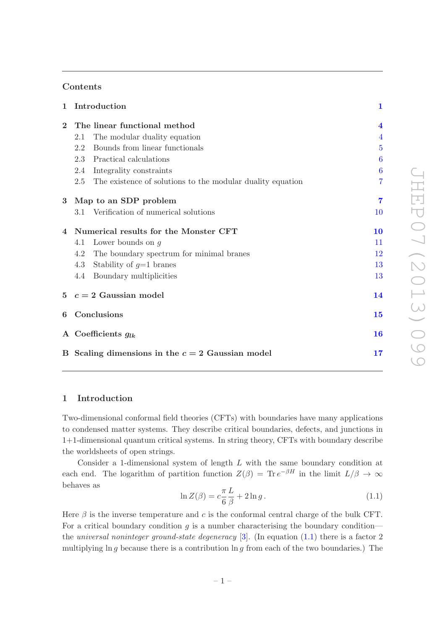# Contents

| $\mathbf{1}$   | Introduction                                                      | $\mathbf{1}$            |
|----------------|-------------------------------------------------------------------|-------------------------|
| $\mathbf{2}$   | The linear functional method                                      | $\overline{\mathbf{4}}$ |
|                | The modular duality equation<br>2.1                               | $\overline{4}$          |
|                | Bounds from linear functionals<br>2.2                             | $\overline{5}$          |
|                | 2.3<br>Practical calculations                                     | 6                       |
|                | 2.4<br>Integrality constraints                                    | 6                       |
|                | The existence of solutions to the modular duality equation<br>2.5 | 7                       |
| 3              | Map to an SDP problem                                             | $\overline{7}$          |
|                | 3.1 Verification of numerical solutions                           | 10                      |
| $\overline{4}$ | Numerical results for the Monster CFT                             | 10                      |
|                | Lower bounds on $q$<br>4.1                                        | 11                      |
|                | 4.2<br>The boundary spectrum for minimal branes                   | 12                      |
|                | Stability of $g=1$ branes<br>4.3                                  | 13                      |
|                | Boundary multiplicities<br>4.4                                    | 13                      |
|                | $5$ $c = 2$ Gaussian model                                        | 14                      |
| 6              | Conclusions                                                       | 15                      |
|                | A Coefficients $g_{lk}$                                           | 16                      |
|                | B Scaling dimensions in the $c = 2$ Gaussian model                | 17                      |

# <span id="page-1-0"></span>1 Introduction

Two-dimensional conformal field theories (CFTs) with boundaries have many applications to condensed matter systems. They describe critical boundaries, defects, and junctions in 1+1-dimensional quantum critical systems. In string theory, CFTs with boundary describe the worldsheets of open strings.

Consider a 1-dimensional system of length L with the same boundary condition at each end. The logarithm of partition function  $Z(\beta) = \text{Tr} e^{-\beta H}$  in the limit  $L/\beta \to \infty$ behaves as

<span id="page-1-1"></span>
$$
\ln Z(\beta) = c \frac{\pi}{6} \frac{L}{\beta} + 2 \ln g. \qquad (1.1)
$$

Here  $\beta$  is the inverse temperature and c is the conformal central charge of the bulk CFT. For a critical boundary condition  $g$  is a number characterising the boundary condition the universal noninteger ground-state degeneracy  $[3]$ . (In equation  $(1.1)$ ) there is a factor 2 multiplying ln g because there is a contribution ln g from each of the two boundaries.) The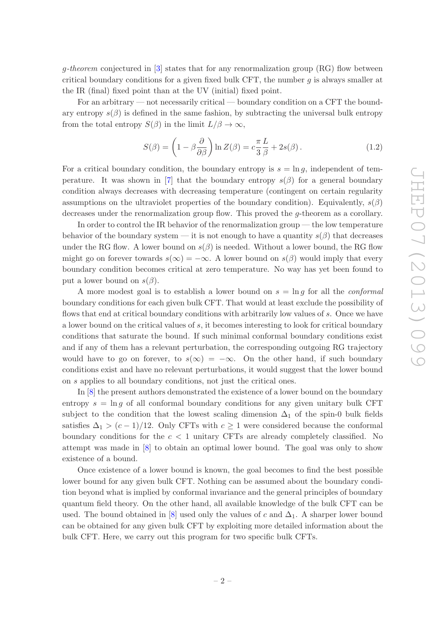$g$ -theorem conjectured in  $[3]$  states that for any renormalization group  $(RG)$  flow between critical boundary conditions for a given fixed bulk CFT, the number  $q$  is always smaller at the IR (final) fixed point than at the UV (initial) fixed point.

For an arbitrary — not necessarily critical — boundary condition on a CFT the boundary entropy  $s(\beta)$  is defined in the same fashion, by subtracting the universal bulk entropy from the total entropy  $S(\beta)$  in the limit  $L/\beta \to \infty$ ,

$$
S(\beta) = \left(1 - \beta \frac{\partial}{\partial \beta}\right) \ln Z(\beta) = c \frac{\pi}{3} \frac{L}{\beta} + 2s(\beta). \tag{1.2}
$$

For a critical boundary condition, the boundary entropy is  $s = \ln g$ , independent of tem-perature. It was shown in [\[7\]](#page-19-1) that the boundary entropy  $s(\beta)$  for a general boundary condition always decreases with decreasing temperature (contingent on certain regularity assumptions on the ultraviolet properties of the boundary condition). Equivalently,  $s(\beta)$ decreases under the renormalization group flow. This proved the *q*-theorem as a corollary.

In order to control the IR behavior of the renormalization group — the low temperature behavior of the boundary system — it is not enough to have a quantity  $s(\beta)$  that decreases under the RG flow. A lower bound on  $s(\beta)$  is needed. Without a lower bound, the RG flow might go on forever towards  $s(\infty) = -\infty$ . A lower bound on  $s(\beta)$  would imply that every boundary condition becomes critical at zero temperature. No way has yet been found to put a lower bound on  $s(\beta)$ .

A more modest goal is to establish a lower bound on  $s = \ln q$  for all the *conformal* boundary conditions for each given bulk CFT. That would at least exclude the possibility of flows that end at critical boundary conditions with arbitrarily low values of s. Once we have a lower bound on the critical values of  $s$ , it becomes interesting to look for critical boundary conditions that saturate the bound. If such minimal conformal boundary conditions exist and if any of them has a relevant perturbation, the corresponding outgoing RG trajectory would have to go on forever, to  $s(\infty) = -\infty$ . On the other hand, if such boundary conditions exist and have no relevant perturbations, it would suggest that the lower bound on s applies to all boundary conditions, not just the critical ones.

In [\[8\]](#page-19-2) the present authors demonstrated the existence of a lower bound on the boundary entropy  $s = \ln g$  of all conformal boundary conditions for any given unitary bulk CFT subject to the condition that the lowest scaling dimension  $\Delta_1$  of the spin-0 bulk fields satisfies  $\Delta_1 > (c-1)/12$ . Only CFTs with  $c \geq 1$  were considered because the conformal boundary conditions for the  $c < 1$  unitary CFTs are already completely classified. No attempt was made in [\[8](#page-19-2)] to obtain an optimal lower bound. The goal was only to show existence of a bound.

Once existence of a lower bound is known, the goal becomes to find the best possible lower bound for any given bulk CFT. Nothing can be assumed about the boundary condition beyond what is implied by conformal invariance and the general principles of boundary quantum field theory. On the other hand, all available knowledge of the bulk CFT can be used. The bound obtained in [\[8\]](#page-19-2) used only the values of c and  $\Delta_1$ . A sharper lower bound can be obtained for any given bulk CFT by exploiting more detailed information about the bulk CFT. Here, we carry out this program for two specific bulk CFTs.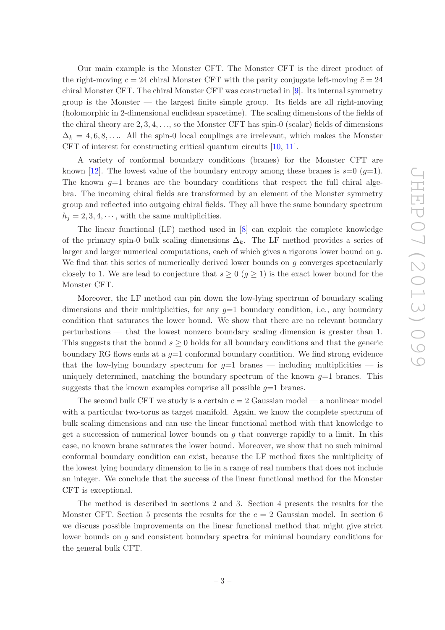Our main example is the Monster CFT. The Monster CFT is the direct product of the right-moving  $c = 24$  chiral Monster CFT with the parity conjugate left-moving  $\bar{c} = 24$ chiral Monster CFT. The chiral Monster CFT was constructed in [\[9](#page-19-3)]. Its internal symmetry group is the Monster — the largest finite simple group. Its fields are all right-moving (holomorphic in 2-dimensional euclidean spacetime). The scaling dimensions of the fields of the chiral theory are 2, 3, 4, . . ., so the Monster CFT has spin-0 (scalar) fields of dimensions  $\Delta_k = 4, 6, 8, \ldots$ . All the spin-0 local couplings are irrelevant, which makes the Monster CFT of interest for constructing critical quantum circuits [\[10](#page-19-4), [11\]](#page-19-5).

A variety of conformal boundary conditions (branes) for the Monster CFT are known [\[12](#page-19-6)]. The lowest value of the boundary entropy among these branes is  $s=0$  ( $g=1$ ). The known  $q=1$  branes are the boundary conditions that respect the full chiral algebra. The incoming chiral fields are transformed by an element of the Monster symmetry group and reflected into outgoing chiral fields. They all have the same boundary spectrum  $h_j = 2, 3, 4, \dots$ , with the same multiplicities.

The linear functional (LF) method used in [\[8\]](#page-19-2) can exploit the complete knowledge of the primary spin-0 bulk scaling dimensions  $\Delta_k$ . The LF method provides a series of larger and larger numerical computations, each of which gives a rigorous lower bound on g. We find that this series of numerically derived lower bounds on  $g$  converges spectacularly closely to 1. We are lead to conjecture that  $s \geq 0$   $(q \geq 1)$  is the exact lower bound for the Monster CFT.

Moreover, the LF method can pin down the low-lying spectrum of boundary scaling dimensions and their multiplicities, for any  $q=1$  boundary condition, i.e., any boundary condition that saturates the lower bound. We show that there are no relevant boundary perturbations — that the lowest nonzero boundary scaling dimension is greater than 1. This suggests that the bound  $s \geq 0$  holds for all boundary conditions and that the generic boundary RG flows ends at a  $q=1$  conformal boundary condition. We find strong evidence that the low-lying boundary spectrum for  $q=1$  branes — including multiplicities — is uniquely determined, matching the boundary spectrum of the known  $g=1$  branes. This suggests that the known examples comprise all possible  $q=1$  branes.

The second bulk CFT we study is a certain  $c = 2$  Gaussian model — a nonlinear model with a particular two-torus as target manifold. Again, we know the complete spectrum of bulk scaling dimensions and can use the linear functional method with that knowledge to get a succession of numerical lower bounds on  $q$  that converge rapidly to a limit. In this case, no known brane saturates the lower bound. Moreover, we show that no such minimal conformal boundary condition can exist, because the LF method fixes the multiplicity of the lowest lying boundary dimension to lie in a range of real numbers that does not include an integer. We conclude that the success of the linear functional method for the Monster CFT is exceptional.

The method is described in sections 2 and 3. Section 4 presents the results for the Monster CFT. Section 5 presents the results for the  $c = 2$  Gaussian model. In section 6 we discuss possible improvements on the linear functional method that might give strict lower bounds on g and consistent boundary spectra for minimal boundary conditions for the general bulk CFT.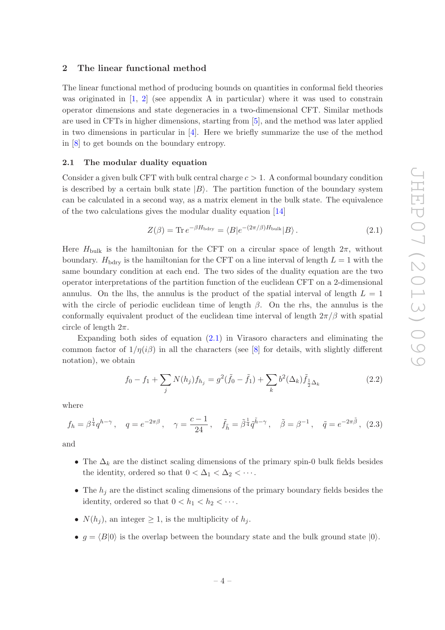## <span id="page-4-0"></span>2 The linear functional method

The linear functional method of producing bounds on quantities in conformal field theories was originated in  $\begin{bmatrix} 1, 2 \end{bmatrix}$  $\begin{bmatrix} 1, 2 \end{bmatrix}$  $\begin{bmatrix} 1, 2 \end{bmatrix}$  (see appendix A in particular) where it was used to constrain operator dimensions and state degeneracies in a two-dimensional CFT. Similar methods are used in CFTs in higher dimensions, starting from [\[5\]](#page-19-9), and the method was later applied in two dimensions in particular in  $[4]$ . Here we briefly summarize the use of the method in [\[8\]](#page-19-2) to get bounds on the boundary entropy.

#### <span id="page-4-1"></span>2.1 The modular duality equation

Consider a given bulk CFT with bulk central charge  $c > 1$ . A conformal boundary condition is described by a certain bulk state  $|B\rangle$ . The partition function of the boundary system can be calculated in a second way, as a matrix element in the bulk state. The equivalence of the two calculations gives the modular duality equation [\[14\]](#page-19-11)

<span id="page-4-2"></span>
$$
Z(\beta) = \text{Tr} \, e^{-\beta H_{\text{bdry}}} = \langle B|e^{-(2\pi/\beta)H_{\text{bulk}}}|B\rangle. \tag{2.1}
$$

Here  $H_{\text{bulk}}$  is the hamiltonian for the CFT on a circular space of length  $2\pi$ , without boundary.  $H_{\text{bdry}}$  is the hamiltonian for the CFT on a line interval of length  $L = 1$  with the same boundary condition at each end. The two sides of the duality equation are the two operator interpretations of the partition function of the euclidean CFT on a 2-dimensional annulus. On the lhs, the annulus is the product of the spatial interval of length  $L = 1$ with the circle of periodic euclidean time of length  $\beta$ . On the rhs, the annulus is the conformally equivalent product of the euclidean time interval of length  $2\pi/\beta$  with spatial circle of length  $2\pi$ .

Expanding both sides of equation  $(2.1)$  in Virasoro characters and eliminating the common factor of  $1/\eta(i\beta)$  in all the characters (see [\[8\]](#page-19-2) for details, with slightly different notation), we obtain

<span id="page-4-3"></span>
$$
f_0 - f_1 + \sum_j N(h_j) f_{h_j} = g^2(\tilde{f}_0 - \tilde{f}_1) + \sum_k b^2(\Delta_k) \tilde{f}_{\frac{1}{2}\Delta_k}
$$
 (2.2)

where

$$
f_h = \beta^{\frac{1}{4}} q^{h-\gamma}, \quad q = e^{-2\pi\beta}, \quad \gamma = \frac{c-1}{24}, \quad \tilde{f}_{\tilde{h}} = \tilde{\beta}^{\frac{1}{4}} \tilde{q}^{\tilde{h}-\gamma}, \quad \tilde{\beta} = \beta^{-1}, \quad \tilde{q} = e^{-2\pi\tilde{\beta}}, \tag{2.3}
$$

and

- The  $\Delta_k$  are the distinct scaling dimensions of the primary spin-0 bulk fields besides the identity, ordered so that  $0 < \Delta_1 < \Delta_2 < \cdots$ .
- The  $h_i$  are the distinct scaling dimensions of the primary boundary fields besides the identity, ordered so that  $0 < h_1 < h_2 < \cdots$ .
- $N(h_i)$ , an integer  $\geq 1$ , is the multiplicity of  $h_i$ .
- $q = \langle B|0\rangle$  is the overlap between the boundary state and the bulk ground state  $|0\rangle$ .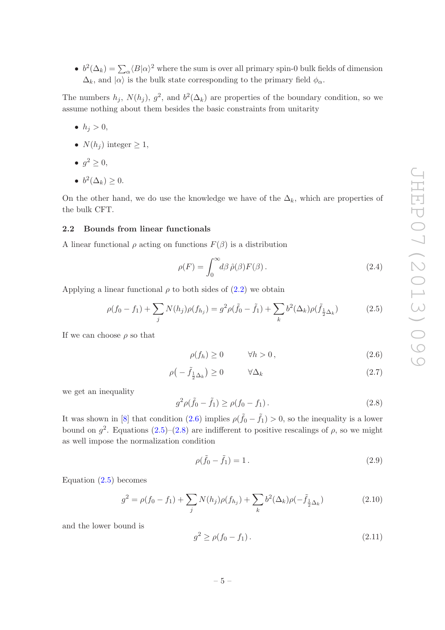•  $b^2(\Delta_k) = \sum_{\alpha} \langle B|\alpha\rangle^2$  where the sum is over all primary spin-0 bulk fields of dimension  $\Delta_k$ , and  $|\alpha\rangle$  is the bulk state corresponding to the primary field  $\phi_\alpha$ .

The numbers  $h_j$ ,  $N(h_j)$ ,  $g^2$ , and  $b^2(\Delta_k)$  are properties of the boundary condition, so we assume nothing about them besides the basic constraints from unitarity

- $h_i > 0$ ,
- $N(h_i)$  integer  $\geq 1$ ,
- $g^2 \geq 0$ ,
- $b^2(\Delta_k) \geq 0$ .

On the other hand, we do use the knowledge we have of the  $\Delta_k$ , which are properties of the bulk CFT.

#### <span id="page-5-0"></span>2.2 Bounds from linear functionals

A linear functional  $\rho$  acting on functions  $F(\beta)$  is a distribution

$$
\rho(F) = \int_0^\infty d\beta \,\hat{\rho}(\beta) F(\beta) \,. \tag{2.4}
$$

Applying a linear functional  $\rho$  to both sides of  $(2.2)$  we obtain

<span id="page-5-2"></span>
$$
\rho(f_0 - f_1) + \sum_j N(h_j)\rho(f_{h_j}) = g^2 \rho(\tilde{f}_0 - \tilde{f}_1) + \sum_k b^2(\Delta_k)\rho(\tilde{f}_{\frac{1}{2}\Delta_k})
$$
(2.5)

If we can choose  $\rho$  so that

<span id="page-5-4"></span><span id="page-5-1"></span>
$$
\rho(f_h) \ge 0 \qquad \forall h > 0, \tag{2.6}
$$

$$
\rho\left(-\tilde{f}_{\frac{1}{2}\Delta_k}\right) \ge 0 \qquad \forall \Delta_k \tag{2.7}
$$

we get an inequality

<span id="page-5-3"></span>
$$
g^2 \rho(\tilde{f}_0 - \tilde{f}_1) \ge \rho(f_0 - f_1).
$$
 (2.8)

It was shown in [\[8](#page-19-2)] that condition [\(2.6\)](#page-5-1) implies  $\rho(\tilde{f}_0 - \tilde{f}_1) > 0$ , so the inequality is a lower bound on  $g^2$ . Equations  $(2.5)-(2.8)$  $(2.5)-(2.8)$  are indifferent to positive rescalings of  $\rho$ , so we might as well impose the normalization condition

<span id="page-5-5"></span>
$$
\rho(\tilde{f}_0 - \tilde{f}_1) = 1.
$$
\n(2.9)

Equation [\(2.5\)](#page-5-2) becomes

$$
g^{2} = \rho(f_{0} - f_{1}) + \sum_{j} N(h_{j})\rho(f_{h_{j}}) + \sum_{k} b^{2}(\Delta_{k})\rho(-\tilde{f}_{\frac{1}{2}\Delta_{k}})
$$
(2.10)

and the lower bound is

<span id="page-5-6"></span>
$$
g^2 \ge \rho(f_0 - f_1). \tag{2.11}
$$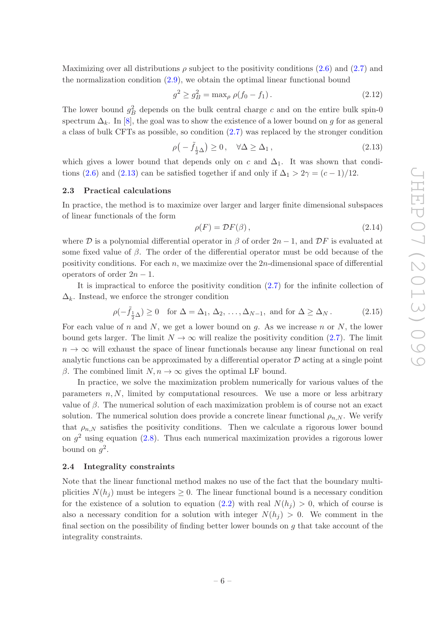Maximizing over all distributions  $\rho$  subject to the positivity conditions [\(2.6\)](#page-5-1) and [\(2.7\)](#page-5-4) and the normalization condition [\(2.9\)](#page-5-5), we obtain the optimal linear functional bound

$$
g^2 \ge g_B^2 = \max_{\rho} \rho(f_0 - f_1). \tag{2.12}
$$

The lower bound  $g_B^2$  depends on the bulk central charge c and on the entire bulk spin-0 spectrum  $\Delta_k$ . In [\[8](#page-19-2)], the goal was to show the existence of a lower bound on g for as general a class of bulk CFTs as possible, so condition [\(2.7\)](#page-5-4) was replaced by the stronger condition

<span id="page-6-2"></span>
$$
\rho(-\tilde{f}_{\frac{1}{2}\Delta}) \ge 0, \quad \forall \Delta \ge \Delta_1, \tag{2.13}
$$

which gives a lower bound that depends only on c and  $\Delta_1$ . It was shown that condi-tions [\(2.6\)](#page-5-1) and [\(2.13\)](#page-6-2) can be satisfied together if and only if  $\Delta_1 > 2\gamma = (c-1)/12$ .

#### <span id="page-6-0"></span>2.3 Practical calculations

In practice, the method is to maximize over larger and larger finite dimensional subspaces of linear functionals of the form

<span id="page-6-3"></span>
$$
\rho(F) = \mathcal{D}F(\beta),\tag{2.14}
$$

where  $\mathcal D$  is a polynomial differential operator in  $\beta$  of order  $2n-1$ , and  $\mathcal D F$  is evaluated at some fixed value of  $\beta$ . The order of the differential operator must be odd because of the positivity conditions. For each  $n$ , we maximize over the  $2n$ -dimensional space of differential operators of order  $2n - 1$ .

It is impractical to enforce the positivity condition [\(2.7\)](#page-5-4) for the infinite collection of  $\Delta_k$ . Instead, we enforce the stronger condition

<span id="page-6-4"></span>
$$
\rho(-\tilde{f}_{\frac{1}{2}\Delta}) \ge 0 \quad \text{for } \Delta = \Delta_1, \, \Delta_2, \, \dots, \Delta_{N-1}, \text{ and for } \Delta \ge \Delta_N. \tag{2.15}
$$

For each value of n and N, we get a lower bound on q. As we increase n or N, the lower bound gets larger. The limit  $N \to \infty$  will realize the positivity condition [\(2.7\)](#page-5-4). The limit  $n \to \infty$  will exhaust the space of linear functionals because any linear functional on real analytic functions can be approximated by a differential operator  $D$  acting at a single point β. The combined limit  $N, n \to \infty$  gives the optimal LF bound.

In practice, we solve the maximization problem numerically for various values of the parameters  $n, N$ , limited by computational resources. We use a more or less arbitrary value of β. The numerical solution of each maximization problem is of course not an exact solution. The numerical solution does provide a concrete linear functional  $\rho_{n,N}$ . We verify that  $\rho_{n,N}$  satisfies the positivity conditions. Then we calculate a rigorous lower bound on  $g^2$  using equation [\(2.8\)](#page-5-3). Thus each numerical maximization provides a rigorous lower bound on  $g^2$ .

## <span id="page-6-1"></span>2.4 Integrality constraints

Note that the linear functional method makes no use of the fact that the boundary multiplicities  $N(h_i)$  must be integers  $\geq 0$ . The linear functional bound is a necessary condition for the existence of a solution to equation [\(2.2\)](#page-4-3) with real  $N(h_i) > 0$ , which of course is also a necessary condition for a solution with integer  $N(h_i) > 0$ . We comment in the final section on the possibility of finding better lower bounds on  $q$  that take account of the integrality constraints.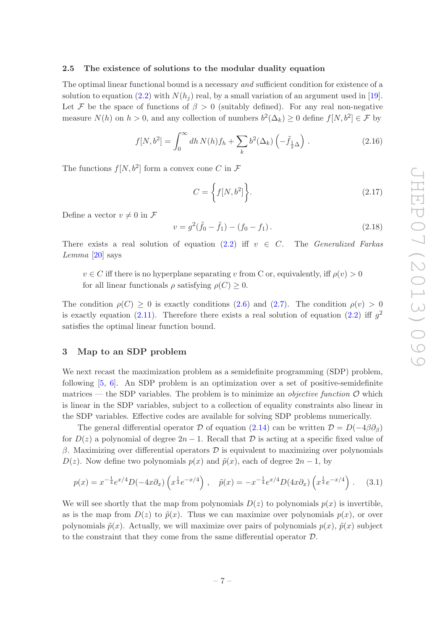## <span id="page-7-0"></span>2.5 The existence of solutions to the modular duality equation

The optimal linear functional bound is a necessary *and* sufficient condition for existence of a solution to equation [\(2.2\)](#page-4-3) with  $N(h_i)$  real, by a small variation of an argument used in [\[19\]](#page-19-12). Let F be the space of functions of  $\beta > 0$  (suitably defined). For any real non-negative measure  $N(h)$  on  $h > 0$ , and any collection of numbers  $b^2(\Delta_k) \ge 0$  define  $f[N, b^2] \in \mathcal{F}$  by

$$
f[N, b^2] = \int_0^\infty dh \, N(h) f_h + \sum_k b^2(\Delta_k) \left(-\tilde{f}_{\frac{1}{2}\Delta}\right) \,. \tag{2.16}
$$

The functions  $f[N, b^2]$  form a convex cone C in  $\mathcal F$ 

$$
C = \left\{ f[N, b^2] \right\}.
$$
\n(2.17)

Define a vector  $v \neq 0$  in F

$$
v = g^2(\tilde{f}_0 - \tilde{f}_1) - (f_0 - f_1).
$$
 (2.18)

There exists a real solution of equation [\(2.2\)](#page-4-3) iff  $v \in C$ . The *Generalized Farkas* Lemma  $[20]$  $[20]$  says

 $v \in C$  iff there is no hyperplane separating v from C or, equivalently, iff  $\rho(v) > 0$ for all linear functionals  $\rho$  satisfying  $\rho(C) \geq 0$ .

The condition  $\rho(C) \geq 0$  is exactly conditions [\(2.6\)](#page-5-1) and [\(2.7\)](#page-5-4). The condition  $\rho(v) > 0$ is exactly equation [\(2.11\)](#page-5-6). Therefore there exists a real solution of equation [\(2.2\)](#page-4-3) iff  $g^2$ satisfies the optimal linear function bound.

## <span id="page-7-1"></span>3 Map to an SDP problem

We next recast the maximization problem as a semidefinite programming (SDP) problem, following [\[5](#page-19-9), [6](#page-19-14)]. An SDP problem is an optimization over a set of positive-semidefinite matrices — the SDP variables. The problem is to minimize an *objective function*  $\mathcal{O}$  which is linear in the SDP variables, subject to a collection of equality constraints also linear in the SDP variables. Effective codes are available for solving SDP problems numerically.

The general differential operator D of equation [\(2.14\)](#page-6-3) can be written  $\mathcal{D} = D(-4\beta\partial_{\beta})$ for  $D(z)$  a polynomial of degree  $2n-1$ . Recall that D is acting at a specific fixed value of β. Maximizing over differential operators  $\mathcal D$  is equivalent to maximizing over polynomials  $D(z)$ . Now define two polynomials  $p(x)$  and  $\tilde{p}(x)$ , each of degree  $2n-1$ , by

<span id="page-7-2"></span>
$$
p(x) = x^{-\frac{1}{4}} e^{x/4} D(-4x \partial_x) \left( x^{\frac{1}{4}} e^{-x/4} \right) , \quad \tilde{p}(x) = -x^{-\frac{1}{4}} e^{x/4} D(4x \partial_x) \left( x^{\frac{1}{4}} e^{-x/4} \right) . \tag{3.1}
$$

We will see shortly that the map from polynomials  $D(z)$  to polynomials  $p(x)$  is invertible, as is the map from  $D(z)$  to  $\tilde{p}(x)$ . Thus we can maximize over polynomials  $p(x)$ , or over polynomials  $\tilde{p}(x)$ . Actually, we will maximize over pairs of polynomials  $p(x)$ ,  $\tilde{p}(x)$  subject to the constraint that they come from the same differential operator D.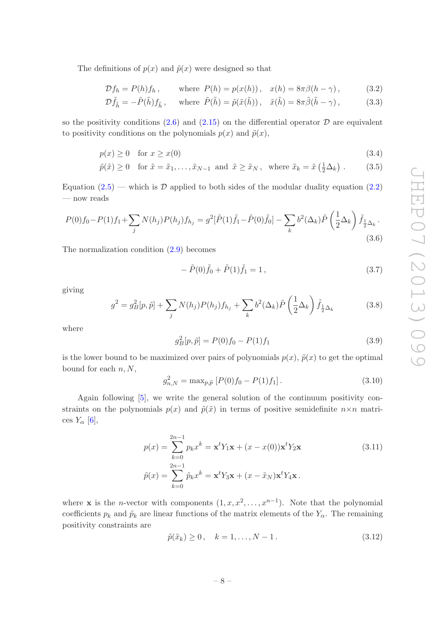The definitions of  $p(x)$  and  $\tilde{p}(x)$  were designed so that

$$
\mathcal{D}f_h = P(h)f_h, \qquad \text{where } P(h) = p(x(h)), \quad x(h) = 8\pi\beta(h-\gamma), \tag{3.2}
$$

$$
\mathcal{D}\tilde{f}_{\tilde{h}} = -\tilde{P}(\tilde{h})f_{\tilde{h}}, \quad \text{where } \tilde{P}(\tilde{h}) = \tilde{p}(\tilde{x}(\tilde{h})), \quad \tilde{x}(\tilde{h}) = 8\pi\tilde{\beta}(\tilde{h} - \gamma), \tag{3.3}
$$

so the positivity conditions  $(2.6)$  and  $(2.15)$  on the differential operator  $\mathcal D$  are equivalent to positivity conditions on the polynomials  $p(x)$  and  $\tilde{p}(x)$ ,

$$
p(x) \ge 0 \quad \text{for } x \ge x(0) \tag{3.4}
$$

$$
\tilde{p}(\tilde{x}) \ge 0 \quad \text{for } \tilde{x} = \tilde{x}_1, \dots, \tilde{x}_{N-1} \text{ and } \tilde{x} \ge \tilde{x}_N, \text{ where } \tilde{x}_k = \tilde{x} \left(\frac{1}{2} \Delta_k\right). \tag{3.5}
$$

Equation  $(2.5)$  — which is D applied to both sides of the modular duality equation  $(2.2)$ — now reads

<span id="page-8-3"></span>
$$
P(0)f_0 - P(1)f_1 + \sum_j N(h_j)P(h_j)f_{h_j} = g^2[\tilde{P}(1)\tilde{f}_1 - \tilde{P}(0)\tilde{f}_0] - \sum_k b^2(\Delta_k)\tilde{P}(\frac{1}{2}\Delta_k)\tilde{f}_{\frac{1}{2}\Delta_k}.
$$
\n(3.6)

The normalization condition [\(2.9\)](#page-5-5) becomes

$$
- \tilde{P}(0)\tilde{f}_0 + \tilde{P}(1)\tilde{f}_1 = 1, \qquad (3.7)
$$

giving

<span id="page-8-2"></span>
$$
g^2 = g_B^2[p, \tilde{p}] + \sum_j N(h_j)P(h_j)f_{h_j} + \sum_k b^2(\Delta_k)\tilde{P}\left(\frac{1}{2}\Delta_k\right)\tilde{f}_{\frac{1}{2}\Delta_k}
$$
(3.8)

where

<span id="page-8-0"></span>
$$
g_B^2[p, \tilde{p}] = P(0)f_0 - P(1)f_1 \tag{3.9}
$$

is the lower bound to be maximized over pairs of polynomials  $p(x)$ ,  $\tilde{p}(x)$  to get the optimal bound for each  $n, N$ ,

<span id="page-8-1"></span>
$$
g_{n,N}^2 = \max_{p,\tilde{p}} [P(0)f_0 - P(1)f_1]. \tag{3.10}
$$

Again following [\[5\]](#page-19-9), we write the general solution of the continuum positivity constraints on the polynomials  $p(x)$  and  $\tilde{p}(\tilde{x})$  in terms of positive semidefinite  $n \times n$  matrices  $Y_\alpha$  [\[6](#page-19-14)],

$$
p(x) = \sum_{k=0}^{2n-1} p_k x^k = \mathbf{x}^t Y_1 \mathbf{x} + (x - x(0)) \mathbf{x}^t Y_2 \mathbf{x}
$$
  
\n
$$
\tilde{p}(x) = \sum_{k=0}^{2n-1} \tilde{p}_k x^k = \mathbf{x}^t Y_3 \mathbf{x} + (x - \tilde{x}_N) \mathbf{x}^t Y_4 \mathbf{x}.
$$
\n(3.11)

where **x** is the *n*-vector with components  $(1, x, x^2, \ldots, x^{n-1})$ . Note that the polynomial coefficients  $p_k$  and  $\tilde{p}_k$  are linear functions of the matrix elements of the  $Y_\alpha$ . The remaining positivity constraints are

$$
\tilde{p}(\tilde{x}_k) \ge 0, \quad k = 1, ..., N - 1.
$$
\n(3.12)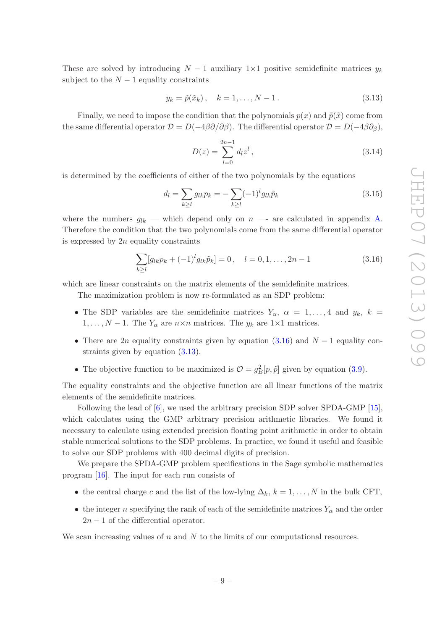These are solved by introducing  $N-1$  auxiliary 1×1 positive semidefinite matrices  $y_k$ subject to the  $N-1$  equality constraints

<span id="page-9-1"></span>
$$
y_k = \tilde{p}(\tilde{x}_k), \quad k = 1, ..., N - 1.
$$
 (3.13)

Finally, we need to impose the condition that the polynomials  $p(x)$  and  $\tilde{p}(\tilde{x})$  come from the same differential operator  $\mathcal{D} = D(-4\beta\partial/\partial\beta)$ . The differential operator  $\mathcal{D} = D(-4\beta\partial_{\beta})$ ,

$$
D(z) = \sum_{l=0}^{2n-1} d_l z^l, \qquad (3.14)
$$

is determined by the coefficients of either of the two polynomials by the equations

<span id="page-9-2"></span>
$$
d_l = \sum_{k \ge l} g_{lk} p_k = -\sum_{k \ge l} (-1)^l g_{lk} \tilde{p}_k
$$
\n(3.15)

where the numbers  $g_{lk}$  — which depend only on  $n$  — are calculated in appendix [A.](#page-16-0) Therefore the condition that the two polynomials come from the same differential operator is expressed by  $2n$  equality constraints

<span id="page-9-0"></span>
$$
\sum_{k\geq l} [g_{lk}p_k + (-1)^l g_{lk}\tilde{p}_k] = 0, \quad l = 0, 1, ..., 2n - 1
$$
\n(3.16)

which are linear constraints on the matrix elements of the semidefinite matrices.

The maximization problem is now re-formulated as an SDP problem:

- The SDP variables are the semidefinite matrices  $Y_\alpha$ ,  $\alpha = 1, \ldots, 4$  and  $y_k$ ,  $k =$  $1, \ldots, N-1$ . The  $Y_{\alpha}$  are  $n \times n$  matrices. The  $y_k$  are  $1 \times 1$  matrices.
- There are 2n equality constraints given by equation [\(3.16\)](#page-9-0) and  $N-1$  equality constraints given by equation [\(3.13\)](#page-9-1).
- The objective function to be maximized is  $\mathcal{O} = g_B^2[p, \tilde{p}]$  given by equation [\(3.9\)](#page-8-0).

The equality constraints and the objective function are all linear functions of the matrix elements of the semidefinite matrices.

Following the lead of [\[6](#page-19-14)], we used the arbitrary precision SDP solver SPDA-GMP [\[15\]](#page-19-15), which calculates using the GMP arbitrary precision arithmetic libraries. We found it necessary to calculate using extended precision floating point arithmetic in order to obtain stable numerical solutions to the SDP problems. In practice, we found it useful and feasible to solve our SDP problems with 400 decimal digits of precision.

We prepare the SPDA-GMP problem specifications in the Sage symbolic mathematics program [\[16\]](#page-19-16). The input for each run consists of

- the central charge c and the list of the low-lying  $\Delta_k$ ,  $k = 1, \ldots, N$  in the bulk CFT,
- the integer n specifying the rank of each of the semidefinite matrices  $Y_{\alpha}$  and the order  $2n - 1$  of the differential operator.

We scan increasing values of  $n$  and  $N$  to the limits of our computational resources.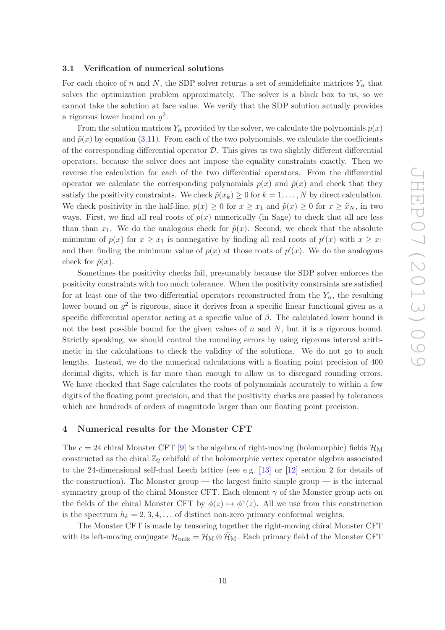### <span id="page-10-0"></span>3.1 Verification of numerical solutions

For each choice of n and N, the SDP solver returns a set of semidefinite matrices  $Y_{\alpha}$  that solves the optimization problem approximately. The solver is a black box to us, so we cannot take the solution at face value. We verify that the SDP solution actually provides a rigorous lower bound on  $g^2$ .

From the solution matrices  $Y_\alpha$  provided by the solver, we calculate the polynomials  $p(x)$ and  $\tilde{p}(x)$  by equation [\(3.11\)](#page-8-1). From each of the two polynomials, we calculate the coefficients of the corresponding differential operator  $D$ . This gives us two slightly different differential operators, because the solver does not impose the equality constraints exactly. Then we reverse the calculation for each of the two differential operators. From the differential operator we calculate the corresponding polynomials  $p(x)$  and  $\tilde{p}(x)$  and check that they satisfy the positivity constraints. We check  $\tilde{p}(x_k) \geq 0$  for  $k = 1, \ldots, N$  by direct calculation. We check positivity in the half-line,  $p(x) \geq 0$  for  $x \geq x_1$  and  $\tilde{p}(x) \geq 0$  for  $x \geq \tilde{x}_N$ , in two ways. First, we find all real roots of  $p(x)$  numerically (in Sage) to check that all are less than than  $x_1$ . We do the analogous check for  $\tilde{p}(x)$ . Second, we check that the absolute minimum of  $p(x)$  for  $x \geq x_1$  is nonnegative by finding all real roots of  $p'(x)$  with  $x \geq x_1$ and then finding the minimum value of  $p(x)$  at those roots of  $p'(x)$ . We do the analogous check for  $\tilde{p}(x)$ .

Sometimes the positivity checks fail, presumably because the SDP solver enforces the positivity constraints with too much tolerance. When the positivity constraints are satisfied for at least one of the two differential operators reconstructed from the  $Y_{\alpha}$ , the resulting lower bound on  $g^2$  is rigorous, since it derives from a specific linear functional given as a specific differential operator acting at a specific value of  $\beta$ . The calculated lower bound is not the best possible bound for the given values of  $n$  and  $N$ , but it is a rigorous bound. Strictly speaking, we should control the rounding errors by using rigorous interval arithmetic in the calculations to check the validity of the solutions. We do not go to such lengths. Instead, we do the numerical calculations with a floating point precision of 400 decimal digits, which is far more than enough to allow us to disregard rounding errors. We have checked that Sage calculates the roots of polynomials accurately to within a few digits of the floating point precision, and that the positivity checks are passed by tolerances which are hundreds of orders of magnitude larger than our floating point precision.

## <span id="page-10-1"></span>4 Numerical results for the Monster CFT

The  $c = 24$  chiral Monster CFT [\[9](#page-19-3)] is the algebra of right-moving (holomorphic) fields  $\mathcal{H}_{\text{M}}$ constructed as the chiral  $\mathbb{Z}_2$  orbifold of the holomorphic vertex operator algebra associated to the 24-dimensional self-dual Leech lattice (see e.g. [\[13\]](#page-19-17) or [\[12\]](#page-19-6) section 2 for details of the construction). The Monster group — the largest finite simple group — is the internal symmetry group of the chiral Monster CFT. Each element  $\gamma$  of the Monster group acts on the fields of the chiral Monster CFT by  $\phi(z) \mapsto \phi^{\gamma}(z)$ . All we use from this construction is the spectrum  $h_k = 2, 3, 4, \ldots$  of distinct non-zero primary conformal weights.

The Monster CFT is made by tensoring together the right-moving chiral Monster CFT with its left-moving conjugate  $\mathcal{H}_{\text{bulk}} = \mathcal{H}_{\text{M}} \otimes \bar{\mathcal{H}}_{\text{M}}$ . Each primary field of the Monster CFT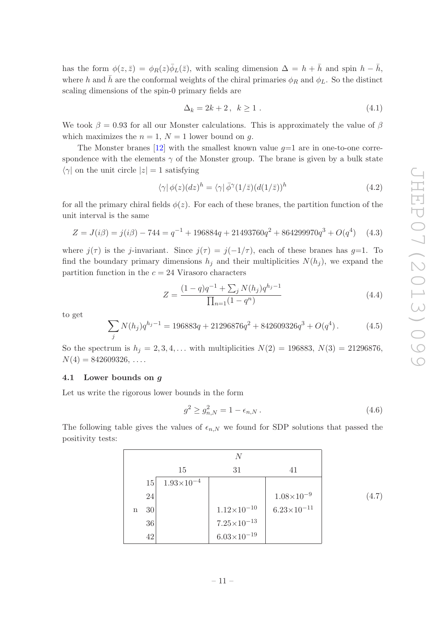has the form  $\phi(z,\bar{z}) = \phi_R(z)\bar{\phi}_L(\bar{z})$ , with scaling dimension  $\Delta = h + \bar{h}$  and spin  $h - \bar{h}$ , where h and  $\bar{h}$  are the conformal weights of the chiral primaries  $\phi_R$  and  $\phi_L$ . So the distinct scaling dimensions of the spin-0 primary fields are

$$
\Delta_k = 2k + 2, \quad k \ge 1 \tag{4.1}
$$

We took  $\beta = 0.93$  for all our Monster calculations. This is approximately the value of  $\beta$ which maximizes the  $n = 1$ ,  $N = 1$  lower bound on g.

The Monster branes  $[12]$  with the smallest known value  $q=1$  are in one-to-one correspondence with the elements  $\gamma$  of the Monster group. The brane is given by a bulk state  $\langle \gamma |$  on the unit circle  $|z| = 1$  satisfying

$$
\langle \gamma | \phi(z) (dz)^h = \langle \gamma | \bar{\phi}^{\gamma} (1/\bar{z}) (d(1/\bar{z}))^h \tag{4.2}
$$

for all the primary chiral fields  $\phi(z)$ . For each of these branes, the partition function of the unit interval is the same

$$
Z = J(i\beta) = j(i\beta) - 744 = q^{-1} + 196884q + 21493760q^{2} + 864299970q^{3} + O(q^{4}) \quad (4.3)
$$

where  $j(\tau)$  is the j-invariant. Since  $j(\tau) = j(-1/\tau)$ , each of these branes has  $g=1$ . To find the boundary primary dimensions  $h_i$  and their multiplicities  $N(h_i)$ , we expand the partition function in the  $c = 24$  Virasoro characters

$$
Z = \frac{(1-q)q^{-1} + \sum_{j} N(h_j)q^{h_j - 1}}{\prod_{n=1} (1 - q^n)}
$$
\n(4.4)

to get

<span id="page-11-2"></span>
$$
\sum_{j} N(h_j) q^{h_j - 1} = 196883q + 21296876q^2 + 842609326q^3 + O(q^4).
$$
 (4.5)

So the spectrum is  $h_j = 2, 3, 4, ...$  with multiplicities  $N(2) = 196883, N(3) = 21296876,$  $N(4) = 842609326, \ldots$ 

#### <span id="page-11-0"></span>4.1 Lower bounds on g

Let us write the rigorous lower bounds in the form

$$
g^2 \ge g_{n,N}^2 = 1 - \epsilon_{n,N} \,. \tag{4.6}
$$

The following table gives the values of  $\epsilon_{n,N}$  we found for SDP solutions that passed the positivity tests:

<span id="page-11-1"></span>

|             |    |                       | N                      |                        |
|-------------|----|-----------------------|------------------------|------------------------|
|             |    | 15                    | 31                     | 41                     |
|             | 15 | $1.93 \times 10^{-4}$ |                        |                        |
|             | 24 |                       |                        | $1.08\times10^{-9}$    |
| $\mathbf n$ | 30 |                       | $1.12\times10^{-10}$   | $6.23 \times 10^{-11}$ |
|             | 36 |                       | $7.25 \times 10^{-13}$ |                        |
|             | 42 |                       | $6.03\times10^{-19}$   |                        |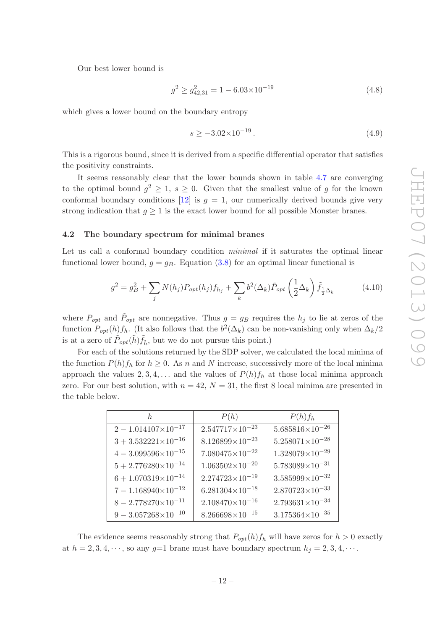Our best lower bound is

$$
g^2 \ge g_{42,31}^2 = 1 - 6.03 \times 10^{-19}
$$
\n
$$
(4.8)
$$

which gives a lower bound on the boundary entropy

$$
s \ge -3.02 \times 10^{-19} \,. \tag{4.9}
$$

This is a rigorous bound, since it is derived from a specific differential operator that satisfies the positivity constraints.

It seems reasonably clear that the lower bounds shown in table [4.7](#page-11-1) are converging to the optimal bound  $g^2 \geq 1$ ,  $s \geq 0$ . Given that the smallest value of g for the known conformal boundary conditions  $[12]$  is  $g = 1$ , our numerically derived bounds give very strong indication that  $q \geq 1$  is the exact lower bound for all possible Monster branes.

#### <span id="page-12-0"></span>4.2 The boundary spectrum for minimal branes

Let us call a conformal boundary condition *minimal* if it saturates the optimal linear functional lower bound,  $g = g_B$ . Equation [\(3.8\)](#page-8-2) for an optimal linear functional is

$$
g^2 = g_B^2 + \sum_j N(h_j) P_{opt}(h_j) f_{h_j} + \sum_k b^2 (\Delta_k) \tilde{P}_{opt} \left(\frac{1}{2} \Delta_k\right) \tilde{f}_{\frac{1}{2} \Delta_k}
$$
(4.10)

where  $P_{opt}$  and  $\tilde{P}_{opt}$  are nonnegative. Thus  $g = g_B$  requires the  $h_j$  to lie at zeros of the function  $P_{opt}(h) f_h$ . (It also follows that the  $b^2(\Delta_k)$  can be non-vanishing only when  $\Delta_k/2$ is at a zero of  $\tilde{P}_{opt}(\tilde{h})\tilde{f}_{\tilde{h}}$ , but we do not pursue this point.)

For each of the solutions returned by the SDP solver, we calculated the local minima of the function  $P(h)f_h$  for  $h \geq 0$ . As n and N increase, successively more of the local minima approach the values 2, 3, 4, ... and the values of  $P(h)f_h$  at those local minima approach zero. For our best solution, with  $n = 42$ ,  $N = 31$ , the first 8 local minima are presented in the table below.

| h.                             | P(h)                     | $P(h)f_h$                  |
|--------------------------------|--------------------------|----------------------------|
| $2 - 1.014107 \times 10^{-17}$ | $2.547717\times10^{-23}$ | $5.685816\times10^{-26}$   |
| $3 + 3.532221 \times 10^{-16}$ | $8.126899\times10^{-23}$ | $5.258071\times10^{-28}$   |
| $4-3.099596{\times}10^{-15}$   | $7.080475\times10^{-22}$ | $1.328079\times10^{-29}$   |
| $5 + 2.776280 \times 10^{-14}$ | $1.063502\times10^{-20}$ | $5.783089\times10^{-31}$   |
| $6 + 1.070319 \times 10^{-14}$ | $2.274723\times10^{-19}$ | $3.585999{\times}10^{-32}$ |
| $7 - 1.168940 \times 10^{-12}$ | $6.281304\times10^{-18}$ | $2.870723\times10^{-33}$   |
| $8 - 2.778270 \times 10^{-11}$ | $2.108470\times10^{-16}$ | $2.793631\times10^{-34}$   |
| $9-3.057268{\times}10^{-10}$   | $8.266698\times10^{-15}$ | $3.175364\times10^{-35}$   |

The evidence seems reasonably strong that  $P_{opt}(h) f_h$  will have zeros for  $h > 0$  exactly at  $h = 2, 3, 4, \dots$ , so any  $g=1$  brane must have boundary spectrum  $h_j = 2, 3, 4, \dots$ .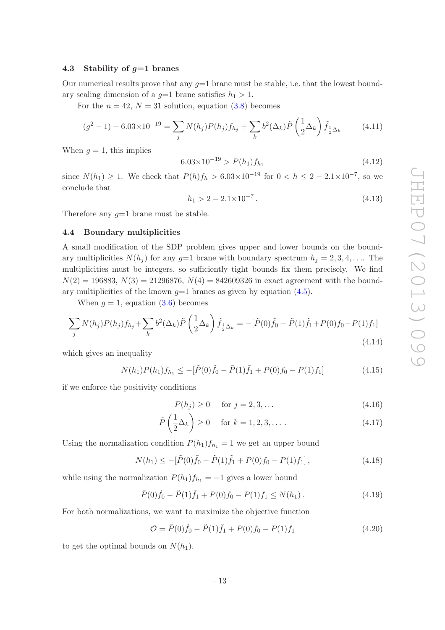## <span id="page-13-0"></span>4.3 Stability of  $q=1$  branes

Our numerical results prove that any  $g=1$  brane must be stable, i.e. that the lowest boundary scaling dimension of a  $q=1$  brane satisfies  $h_1 > 1$ .

For the  $n = 42$ ,  $N = 31$  solution, equation [\(3.8\)](#page-8-2) becomes

$$
(g^{2} - 1) + 6.03 \times 10^{-19} = \sum_{j} N(h_{j}) P(h_{j}) f_{h_{j}} + \sum_{k} b^{2} (\Delta_{k}) \tilde{P} \left(\frac{1}{2} \Delta_{k}\right) \tilde{f}_{\frac{1}{2} \Delta_{k}} \qquad (4.11)
$$

When  $q = 1$ , this implies

$$
6.03 \times 10^{-19} > P(h_1) f_{h_1}
$$
\n
$$
(4.12)
$$

since  $N(h_1) \ge 1$ . We check that  $P(h)f_h > 6.03 \times 10^{-19}$  for  $0 < h \le 2 - 2.1 \times 10^{-7}$ , so we conclude that

> $h_1 > 2 - 2.1 \times 10^{-7}$ .  $(4.13)$

<span id="page-13-1"></span>Therefore any  $g=1$  brane must be stable.

## 4.4 Boundary multiplicities

A small modification of the SDP problem gives upper and lower bounds on the boundary multiplicities  $N(h_i)$  for any  $g=1$  brane with boundary spectrum  $h_i = 2, 3, 4, \ldots$ . The multiplicities must be integers, so sufficiently tight bounds fix them precisely. We find  $N(2) = 196883, N(3) = 21296876, N(4) = 842609326$  in exact agreement with the boundary multiplicities of the known  $q=1$  branes as given by equation [\(4.5\)](#page-11-2).

When  $q = 1$ , equation [\(3.6\)](#page-8-3) becomes

<span id="page-13-2"></span>
$$
\sum_{j} N(h_j) P(h_j) f_{h_j} + \sum_{k} b^2 (\Delta_k) \tilde{P} \left( \frac{1}{2} \Delta_k \right) \tilde{f}_{\frac{1}{2} \Delta_k} = -[\tilde{P}(0) \tilde{f}_0 - \tilde{P}(1) \tilde{f}_1 + P(0) f_0 - P(1) f_1] \tag{4.14}
$$

which gives an inequality

$$
N(h_1)P(h_1)f_{h_1} \le -[\tilde{P}(0)\tilde{f}_0 - \tilde{P}(1)\tilde{f}_1 + P(0)f_0 - P(1)f_1]
$$
\n(4.15)

if we enforce the positivity conditions

$$
P(h_j) \ge 0 \quad \text{for } j = 2, 3, ... \tag{4.16}
$$

$$
\tilde{P}\left(\frac{1}{2}\Delta_k\right) \ge 0 \quad \text{for } k = 1, 2, 3, \dots \tag{4.17}
$$

Using the normalization condition  $P(h_1)f_{h_1} = 1$  we get an upper bound

$$
N(h_1) \le -[\tilde{P}(0)\tilde{f}_0 - \tilde{P}(1)\tilde{f}_1 + P(0)f_0 - P(1)f_1],
$$
\n(4.18)

while using the normalization  $P(h_1)f_{h_1} = -1$  gives a lower bound

$$
\tilde{P}(0)\tilde{f}_0 - \tilde{P}(1)\tilde{f}_1 + P(0)f_0 - P(1)f_1 \le N(h_1).
$$
\n(4.19)

For both normalizations, we want to maximize the objective function

$$
\mathcal{O} = \tilde{P}(0)\tilde{f}_0 - \tilde{P}(1)\tilde{f}_1 + P(0)f_0 - P(1)f_1 \tag{4.20}
$$

to get the optimal bounds on  $N(h_1)$ .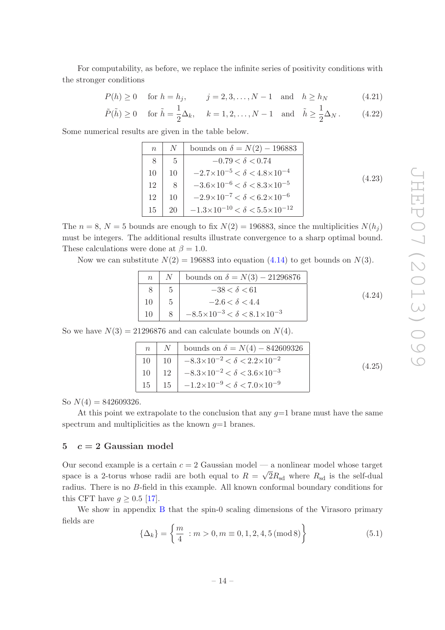For computability, as before, we replace the infinite series of positivity conditions with the stronger conditions

$$
P(h) \ge 0
$$
 for  $h = h_j$ ,  $j = 2, 3, ..., N - 1$  and  $h \ge h_N$  (4.21)

$$
\tilde{P}(\tilde{h}) \ge 0 \quad \text{for } \tilde{h} = \frac{1}{2}\Delta_k, \quad k = 1, 2, \dots, N - 1 \quad \text{and} \quad \tilde{h} \ge \frac{1}{2}\Delta_N. \tag{4.22}
$$

Some numerical results are given in the table below.

| $\eta$ |               | bounds on $\delta = N(2) - 196883$                  |        |
|--------|---------------|-----------------------------------------------------|--------|
|        | $\frac{5}{2}$ | $-0.79 < \delta < 0.74$                             |        |
| 10     | 10            | $-2.7\times10^{-5} < \delta < 4.8\times10^{-4}$     | (4.23) |
| 12     | 8             | $-3.6 \times 10^{-6} < \delta < 8.3 \times 10^{-5}$ |        |
| 12     | 10            | $-2.9\times10^{-7} < \delta < 6.2\times10^{-6}$     |        |
| 15     | 20            | $-1.3\times10^{-10} < \delta < 5.5\times10^{-12}$   |        |

The  $n = 8$ ,  $N = 5$  bounds are enough to fix  $N(2) = 196883$ , since the multiplicities  $N(h_i)$ must be integers. The additional results illustrate convergence to a sharp optimal bound. These calculations were done at  $\beta = 1.0$ .

Now we can substitute  $N(2) = 196883$  into equation [\(4.14\)](#page-13-2) to get bounds on  $N(3)$ .

| n  | N | bounds on $\delta = N(3) - 21296876$                |
|----|---|-----------------------------------------------------|
| 8  | 5 | $-38 < \delta < 61$                                 |
| 10 | 5 | $-2.6 < \delta < 4.4$                               |
| 10 | 8 | $-8.5 \times 10^{-3} < \delta < 8.1 \times 10^{-3}$ |

\n(4.24)

So we have  $N(3) = 21296876$  and can calculate bounds on  $N(4)$ .

|  | $n \mid N \mid$ bounds on $\delta = N(4) - 842609326$               |        |
|--|---------------------------------------------------------------------|--------|
|  | 10   10   $-8.3 \times 10^{-2} < \delta < 2.2 \times 10^{-2}$       | (4.25) |
|  | 10   12   $-8.3 \times 10^{-2} < \delta < 3.6 \times 10^{-3}$       |        |
|  | $15 \mid 15 \mid -1.2 \times 10^{-9} < \delta < 7.0 \times 10^{-9}$ |        |

So  $N(4) = 842609326$ .

At this point we extrapolate to the conclusion that any  $q=1$  brane must have the same spectrum and multiplicities as the known  $g=1$  branes.

## <span id="page-14-0"></span>5  $c = 2$  Gaussian model

Our second example is a certain  $c = 2$  Gaussian model — a nonlinear model whose target space is a 2-torus whose radii are both equal to  $R = \sqrt{2}R_{sd}$  where  $R_{sd}$  is the self-dual radius. There is no B-field in this example. All known conformal boundary conditions for this CFT have  $q \geq 0.5$  [\[17\]](#page-19-18).

We show in appendix [B](#page-17-0) that the spin-0 scaling dimensions of the Virasoro primary fields are

$$
\{\Delta_k\} = \left\{\frac{m}{4} : m > 0, m \equiv 0, 1, 2, 4, 5 \pmod{8}\right\}
$$
 (5.1)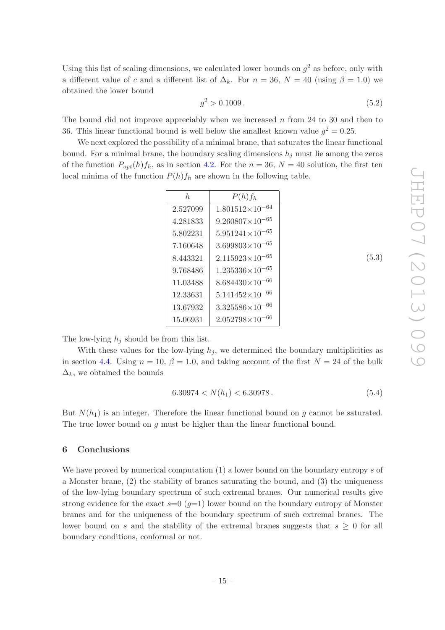Using this list of scaling dimensions, we calculated lower bounds on  $g^2$  as before, only with a different value of c and a different list of  $\Delta_k$ . For  $n = 36$ ,  $N = 40$  (using  $\beta = 1.0$ ) we obtained the lower bound

$$
g^2 > 0.1009\,. \tag{5.2}
$$

The bound did not improve appreciably when we increased  $n$  from 24 to 30 and then to 36. This linear functional bound is well below the smallest known value  $g^2 = 0.25$ .

We next explored the possibility of a minimal brane, that saturates the linear functional bound. For a minimal brane, the boundary scaling dimensions  $h_j$  must lie among the zeros of the function  $P_{opt}(h) f_h$ , as in section [4.2.](#page-12-0) For the  $n = 36$ ,  $N = 40$  solution, the first ten local minima of the function  $P(h)f_h$  are shown in the following table.

| h.       | $P(h)f_h$                |
|----------|--------------------------|
| 2.527099 | $1.801512\times10^{-64}$ |
| 4.281833 | $9.260807\times10^{-65}$ |
| 5.802231 | $5.951241\times10^{-65}$ |
| 7.160648 | $3.699803\times10^{-65}$ |
| 8.443321 | $2.115923\times10^{-65}$ |
| 9.768486 | $1.235336\times10^{-65}$ |
| 11.03488 | $8.684430\times10^{-66}$ |
| 12.33631 | $5.141452\times10^{-66}$ |
| 13.67932 | $3.325586\times10^{-66}$ |
| 15.06931 | $2.052798\times10^{-66}$ |

The low-lying  $h_j$  should be from this list.

With these values for the low-lying  $h_i$ , we determined the boundary multiplicities as in section [4.4.](#page-13-1) Using  $n = 10$ ,  $\beta = 1.0$ , and taking account of the first  $N = 24$  of the bulk  $\Delta_k$ , we obtained the bounds

$$
6.30974 < N(h_1) < 6.30978. \tag{5.4}
$$

But  $N(h_1)$  is an integer. Therefore the linear functional bound on g cannot be saturated. The true lower bound on q must be higher than the linear functional bound.

## <span id="page-15-0"></span>6 Conclusions

We have proved by numerical computation  $(1)$  a lower bound on the boundary entropy s of a Monster brane, (2) the stability of branes saturating the bound, and (3) the uniqueness of the low-lying boundary spectrum of such extremal branes. Our numerical results give strong evidence for the exact  $s=0$  ( $q=1$ ) lower bound on the boundary entropy of Monster branes and for the uniqueness of the boundary spectrum of such extremal branes. The lower bound on s and the stability of the extremal branes suggests that  $s \geq 0$  for all boundary conditions, conformal or not.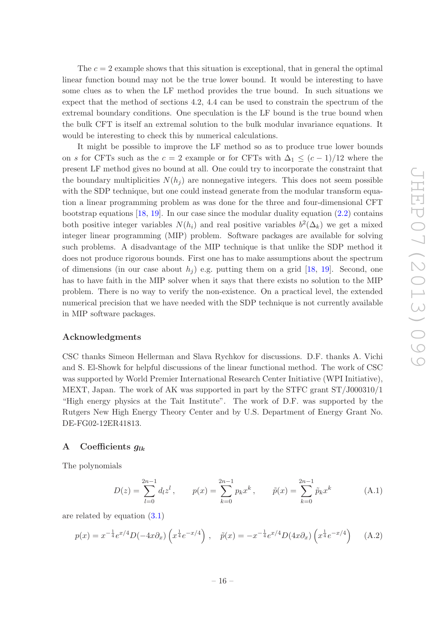The  $c = 2$  example shows that this situation is exceptional, that in general the optimal linear function bound may not be the true lower bound. It would be interesting to have some clues as to when the LF method provides the true bound. In such situations we expect that the method of sections 4.2, 4.4 can be used to constrain the spectrum of the extremal boundary conditions. One speculation is the LF bound is the true bound when the bulk CFT is itself an extremal solution to the bulk modular invariance equations. It would be interesting to check this by numerical calculations.

It might be possible to improve the LF method so as to produce true lower bounds on s for CFTs such as the  $c = 2$  example or for CFTs with  $\Delta_1 \leq (c-1)/12$  where the present LF method gives no bound at all. One could try to incorporate the constraint that the boundary multiplicities  $N(h_i)$  are nonnegative integers. This does not seem possible with the SDP technique, but one could instead generate from the modular transform equation a linear programming problem as was done for the three and four-dimensional CFT bootstrap equations [\[18](#page-19-19), [19](#page-19-12)]. In our case since the modular duality equation  $(2.2)$  contains both positive integer variables  $N(h_i)$  and real positive variables  $b^2(\Delta_k)$  we get a mixed integer linear programming (MIP) problem. Software packages are available for solving such problems. A disadvantage of the MIP technique is that unlike the SDP method it does not produce rigorous bounds. First one has to make assumptions about the spectrum of dimensions (in our case about  $h_i$ ) e.g. putting them on a grid [\[18,](#page-19-19) [19](#page-19-12)]. Second, one has to have faith in the MIP solver when it says that there exists no solution to the MIP problem. There is no way to verify the non-existence. On a practical level, the extended numerical precision that we have needed with the SDP technique is not currently available in MIP software packages.

#### Acknowledgments

CSC thanks Simeon Hellerman and Slava Rychkov for discussions. D.F. thanks A. Vichi and S. El-Showk for helpful discussions of the linear functional method. The work of CSC was supported by World Premier International Research Center Initiative (WPI Initiative), MEXT, Japan. The work of AK was supported in part by the STFC grant ST/J000310/1 "High energy physics at the Tait Institute". The work of D.F. was supported by the Rutgers New High Energy Theory Center and by U.S. Department of Energy Grant No. DE-FG02-12ER41813.

# <span id="page-16-0"></span>A Coefficients  $q_{lk}$

The polynomials

$$
D(z) = \sum_{l=0}^{2n-1} d_l z^l, \qquad p(x) = \sum_{k=0}^{2n-1} p_k x^k, \qquad \tilde{p}(x) = \sum_{k=0}^{2n-1} \tilde{p}_k x^k
$$
 (A.1)

are related by equation [\(3.1\)](#page-7-2)

$$
p(x) = x^{-\frac{1}{4}} e^{x/4} D(-4x \partial_x) \left( x^{\frac{1}{4}} e^{-x/4} \right) , \quad \tilde{p}(x) = -x^{-\frac{1}{4}} e^{x/4} D(4x \partial_x) \left( x^{\frac{1}{4}} e^{-x/4} \right) \tag{A.2}
$$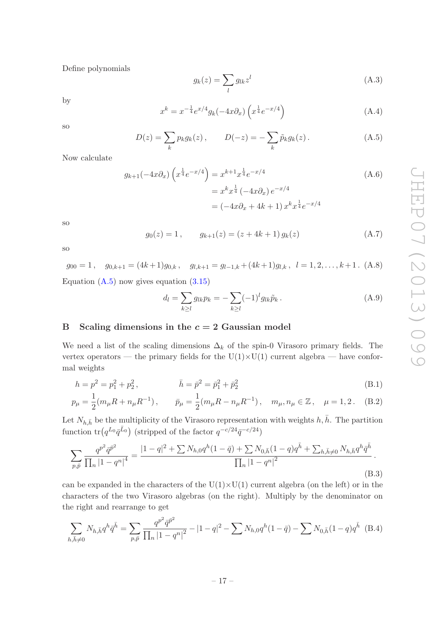Define polynomials

$$
g_k(z) = \sum_l g_{lk} z^l \tag{A.3}
$$

by

$$
x^{k} = x^{-\frac{1}{4}} e^{x/4} g_{k}(-4x \partial_{x}) \left( x^{\frac{1}{4}} e^{-x/4} \right)
$$
 (A.4)

so

<span id="page-17-1"></span>
$$
D(z) = \sum_{k} p_{k} g_{k}(z), \qquad D(-z) = -\sum_{k} \tilde{p}_{k} g_{k}(z).
$$
 (A.5)

Now calculate

$$
g_{k+1}(-4x\partial_x)\left(x^{\frac{1}{4}}e^{-x/4}\right) = x^{k+1}x^{\frac{1}{4}}e^{-x/4}
$$
  
=  $x^kx^{\frac{1}{4}}(-4x\partial_x)e^{-x/4}$   
=  $(-4x\partial_x + 4k + 1)x^kx^{\frac{1}{4}}e^{-x/4}$  (A.6)

so

$$
g_0(z) = 1, \qquad g_{k+1}(z) = (z + 4k + 1) g_k(z) \tag{A.7}
$$

so

$$
g_{00} = 1
$$
,  $g_{0,k+1} = (4k+1)g_{0,k}$ ,  $g_{l,k+1} = g_{l-1,k} + (4k+1)g_{l,k}$ ,  $l = 1, 2, ..., k+1$ . (A.8)  
Equation (A.5) now gives equation (3.15)

$$
d_l = \sum_{k \ge l} g_{lk} p_k = -\sum_{k \ge l} (-1)^l g_{lk} \tilde{p}_k.
$$
 (A.9)

## <span id="page-17-0"></span>B Scaling dimensions in the  $c = 2$  Gaussian model

We need a list of the scaling dimensions  $\Delta_k$  of the spin-0 Virasoro primary fields. The vertex operators — the primary fields for the  $U(1)\times U(1)$  current algebra — have conformal weights

$$
h = p^2 = p_1^2 + p_2^2, \qquad \bar{h} = \bar{p}^2 = \bar{p}_1^2 + \bar{p}_2^2 \qquad (B.1)
$$

$$
p_{\mu} = \frac{1}{2}(m_{\mu}R + n_{\mu}R^{-1}), \qquad \bar{p}_{\mu} = \frac{1}{2}(m_{\mu}R - n_{\mu}R^{-1}), \quad m_{\mu}, n_{\mu} \in \mathbb{Z}, \quad \mu = 1, 2. \quad (B.2)
$$

Let  $N_{h,\bar{h}}$  be the multiplicity of the Virasoro representation with weights  $h, \bar{h}$ . The partition function  $tr(q^{L_0}\bar{q}^{\bar{L}_0})$  (stripped of the factor  $q^{-c/24}\bar{q}^{-c/24})$ 

$$
\sum_{p,\bar{p}} \frac{q^{p^2} \bar{q}^{\bar{p}^2}}{\prod_n |1 - q^n|^4} = \frac{|1 - q|^2 + \sum N_{h,0} q^h (1 - \bar{q}) + \sum N_{0,\bar{h}} (1 - q) q^{\bar{h}} + \sum_{h,\bar{h} \neq 0} N_{h,\bar{h}} q^h \bar{q}^{\bar{h}}}{\prod_n |1 - q^n|^2}.
$$
\n(B.3)

can be expanded in the characters of the  $U(1)\times U(1)$  current algebra (on the left) or in the characters of the two Virasoro algebras (on the right). Multiply by the denominator on the right and rearrange to get

<span id="page-17-2"></span>
$$
\sum_{h,\bar{h}\neq 0} N_{h,\bar{h}} q^h \bar{q}^{\bar{h}} = \sum_{p,\bar{p}} \frac{q^{p^2} \bar{q}^{\bar{p}^2}}{\prod_n |1 - q^n|^2} - |1 - q|^2 - \sum N_{h,0} q^h (1 - \bar{q}) - \sum N_{0,\bar{h}} (1 - q) q^{\bar{h}} \tag{B.4}
$$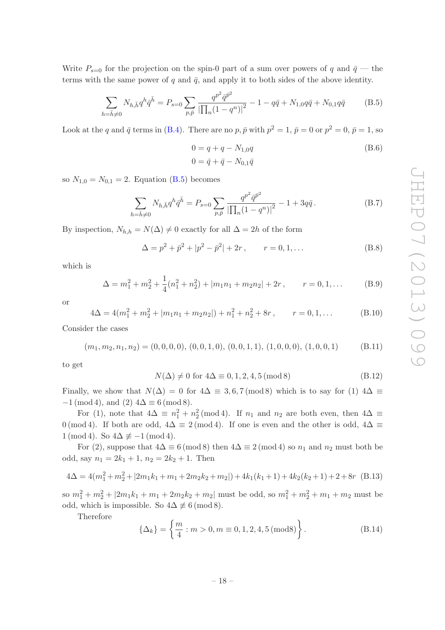Write  $P_{s=0}$  for the projection on the spin-0 part of a sum over powers of q and  $\bar{q}$  — the terms with the same power of q and  $\bar{q}$ , and apply it to both sides of the above identity.

<span id="page-18-0"></span>
$$
\sum_{h=\bar{h}\neq 0} N_{h,\bar{h}} q^h \bar{q}^{\bar{h}} = P_{s=0} \sum_{p,\bar{p}} \frac{q^{p^2} \bar{q}^{\bar{p}^2}}{\left|\prod_n (1-q^n)\right|^2} - 1 - q\bar{q} + N_{1,0} q\bar{q} + N_{0,1} q\bar{q}
$$
(B.5)

Look at the q and  $\bar{q}$  terms in [\(B.4\)](#page-17-2). There are no  $p, \bar{p}$  with  $p^2 = 1, \bar{p} = 0$  or  $p^2 = 0, \bar{p} = 1$ , so

$$
0 = q + q - N_{1,0}q
$$
  
\n
$$
0 = \bar{q} + \bar{q} - N_{0,1}\bar{q}
$$
 (B.6)

so  $N_{1,0} = N_{0,1} = 2$ . Equation [\(B.5\)](#page-18-0) becomes

$$
\sum_{h=\bar{h}\neq 0} N_{h,\bar{h}} q^h \bar{q}^{\bar{h}} = P_{s=0} \sum_{p,\bar{p}} \frac{q^{p^2} \bar{q}^{\bar{p}^2}}{\left|\prod_n (1-q^n)\right|^2} - 1 + 3q\bar{q} \,. \tag{B.7}
$$

By inspection,  $N_{h,h} = N(\Delta) \neq 0$  exactly for all  $\Delta = 2h$  of the form

$$
\Delta = p^2 + \bar{p}^2 + |p^2 - \bar{p}^2| + 2r, \qquad r = 0, 1, ...
$$
 (B.8)

which is

$$
\Delta = m_1^2 + m_2^2 + \frac{1}{4}(n_1^2 + n_2^2) + |m_1 n_1 + m_2 n_2| + 2r, \qquad r = 0, 1, ...
$$
 (B.9)

or

$$
4\Delta = 4(m_1^2 + m_2^2 + |m_1n_1 + m_2n_2|) + n_1^2 + n_2^2 + 8r, \qquad r = 0, 1, ...
$$
 (B.10)

Consider the cases

$$
(m_1, m_2, n_1, n_2) = (0, 0, 0, 0), (0, 0, 1, 0), (0, 0, 1, 1), (1, 0, 0, 0), (1, 0, 0, 1)
$$
 (B.11)

to get

$$
N(\Delta) \neq 0 \text{ for } 4\Delta \equiv 0, 1, 2, 4, 5 \text{ (mod 8)}\tag{B.12}
$$

Finally, we show that  $N(\Delta) = 0$  for  $4\Delta \equiv 3, 6, 7 \pmod{8}$  which is to say for (1)  $4\Delta \equiv$  $-1 \pmod{4}$ , and  $(2)$   $4\Delta \equiv 6 \pmod{8}$ .

For (1), note that  $4\Delta \equiv n_1^2 + n_2^2 \pmod{4}$ . If  $n_1$  and  $n_2$  are both even, then  $4\Delta \equiv$ 0 (mod 4). If both are odd,  $4\Delta \equiv 2 \pmod{4}$ . If one is even and the other is odd,  $4\Delta \equiv$  $1 \pmod{4}$ . So  $4\Delta \not\equiv -1 \pmod{4}$ .

For (2), suppose that  $4\Delta \equiv 6 \pmod{8}$  then  $4\Delta \equiv 2 \pmod{4}$  so  $n_1$  and  $n_2$  must both be odd, say  $n_1 = 2k_1 + 1$ ,  $n_2 = 2k_2 + 1$ . Then

$$
4\Delta = 4(m_1^2 + m_2^2 + |2m_1k_1 + m_1 + 2m_2k_2 + m_2|) + 4k_1(k_1 + 1) + 4k_2(k_2 + 1) + 2 + 8r
$$
 (B.13)

so  $m_1^2 + m_2^2 + |2m_1k_1 + m_1 + 2m_2k_2 + m_2|$  must be odd, so  $m_1^2 + m_2^2 + m_1 + m_2$  must be odd, which is impossible. So  $4\Delta \not\equiv 6 \pmod{8}$ .

Therefore

$$
\{\Delta_k\} = \left\{\frac{m}{4} : m > 0, m \equiv 0, 1, 2, 4, 5 \text{ (mod 8)}\right\}.
$$
 (B.14)